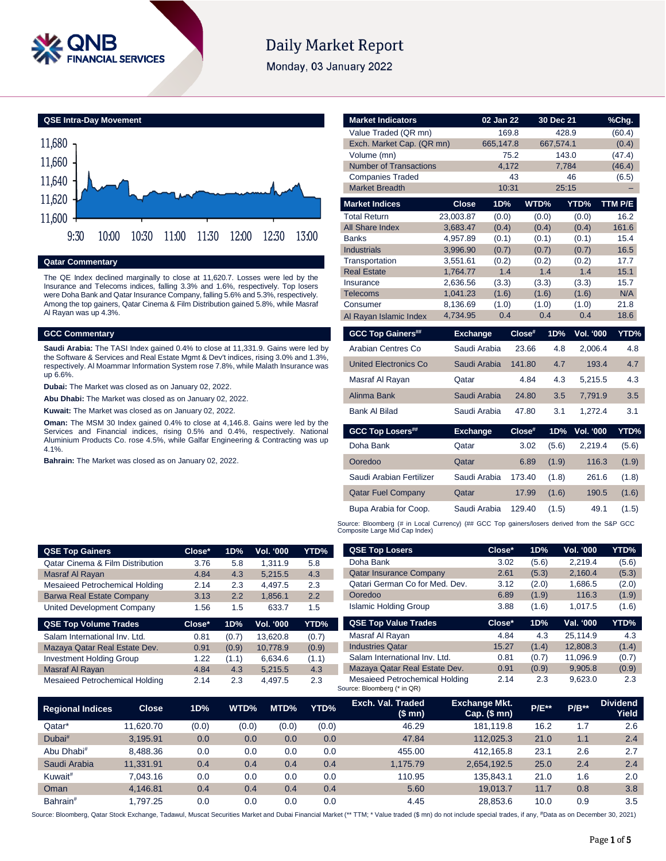

# **Daily Market Report**

Monday, 03 January 2022



### **Qatar Commentary**

The QE Index declined marginally to close at 11,620.7. Losses were led by the Insurance and Telecoms indices, falling 3.3% and 1.6%, respectively. Top losers were Doha Bank and Qatar Insurance Company, falling 5.6% and 5.3%, respectively. Among the top gainers, Qatar Cinema & Film Distribution gained 5.8%, while Masraf Al Rayan was up 4.3%.

#### **GCC Commentary**

**Saudi Arabia:** The TASI Index gained 0.4% to close at 11,331.9. Gains were led by the Software & Services and Real Estate Mgmt & Dev't indices, rising 3.0% and 1.3%, respectively. Al Moammar Information System rose 7.8%, while Malath Insurance was up 6.6%.

**Dubai:** The Market was closed as on January 02, 2022.

**Abu Dhabi:** The Market was closed as on January 02, 2022.

**Kuwait:** The Market was closed as on January 02, 2022.

**Oman:** The MSM 30 Index gained 0.4% to close at 4,146.8. Gains were led by the Services and Financial indices, rising 0.5% and 0.4%, respectively. National Aluminium Products Co. rose 4.5%, while Galfar Engineering & Contracting was up 4.1%.

**Bahrain:** The Market was closed as on January 02, 2022.

| <b>Market Indicators</b>      |                      | 02 Jan 22      |        | 30 Dec 21      |                  | <u>%Chg.</u> |  |
|-------------------------------|----------------------|----------------|--------|----------------|------------------|--------------|--|
| Value Traded (QR mn)          |                      |                | 169.8  | 428.9          |                  | (60.4)       |  |
| Exch. Market Cap. (QR mn)     |                      | 665,147.8      |        | 667,574.1      |                  | (0.4)        |  |
| Volume (mn)                   |                      |                | 75.2   | 143.0          |                  | (47.4)       |  |
| <b>Number of Transactions</b> |                      |                | 4,172  | 7,784          |                  | (46.4)       |  |
| <b>Companies Traded</b>       |                      |                | 43     |                | 46               | (6.5)        |  |
| <b>Market Breadth</b>         |                      |                | 10:31  | 25:15          |                  |              |  |
| <b>Market Indices</b>         | <b>Close</b>         | 1D%            |        | WTD%           | YTD%             | TTM P/E      |  |
| <b>Total Return</b>           | 23,003.87            | (0.0)          |        | (0.0)          | (0.0)            | 16.2         |  |
| <b>All Share Index</b>        | 3,683.47             | (0.4)          |        | (0.4)          | (0.4)            | 161.6        |  |
| <b>Banks</b>                  | 4,957.89             | (0.1)          |        | (0.1)          | (0.1)            | 15.4         |  |
| <b>Industrials</b>            | 3,996.90             | (0.7)          |        | (0.7)          | (0.7)            | 16.5         |  |
| Transportation                | 3,551.61             | (0.2)          |        | (0.2)          | (0.2)            | 17.7         |  |
| <b>Real Estate</b>            | 1,764.77             | 1.4            |        | 1.4            | 1.4              | 15.1         |  |
| Insurance                     | 2,636.56             | (3.3)          |        | (3.3)          | (3.3)            | 15.7         |  |
| <b>Telecoms</b><br>Consumer   | 1,041.23<br>8,136.69 | (1.6)<br>(1.0) |        | (1.6)<br>(1.0) | (1.6)<br>(1.0)   | N/A<br>21.8  |  |
| Al Rayan Islamic Index        | 4,734.95             | 0.4            |        | 0.4            | 0.4              | 18.6         |  |
|                               |                      |                |        |                |                  |              |  |
| <b>GCC Top Gainers##</b>      | <b>Exchange</b>      |                | Close# | 1D%            | <b>Vol. '000</b> | YTD%         |  |
| Arabian Centres Co            | Saudi Arabia         |                | 23.66  | 4.8            | 2,006.4          | 4.8          |  |
| <b>United Electronics Co</b>  | Saudi Arabia         |                | 141.80 | 4.7            | 193.4            | 4.7          |  |
| Masraf Al Rayan               | Qatar                |                | 4.84   | 4.3            | 5,215.5          | 4.3          |  |
| Alinma Bank                   | Saudi Arabia         |                | 24.80  | 3.5            | 7,791.9          | 3.5          |  |
| <b>Bank Al Bilad</b>          | Saudi Arabia         |                | 47.80  | 3.1            | 1,272.4          | 3.1          |  |
| <b>GCC Top Losers##</b>       | <b>Exchange</b>      |                | Close# | 1D%            | <b>Vol. '000</b> | YTD%         |  |
| Doha Bank                     | Qatar                |                | 3.02   | (5.6)          | 2,219.4          | (5.6)        |  |
| Ooredoo                       | Qatar                |                | 6.89   | (1.9)          | 116.3            | (1.9)        |  |
| Saudi Arabian Fertilizer      | Saudi Arabia         |                | 173.40 | (1.8)          | 261.6            | (1.8)        |  |
| <b>Qatar Fuel Company</b>     | Qatar                |                | 17.99  | (1.6)          | 190.5            | (1.6)        |  |
| Bupa Arabia for Coop.         | Saudi Arabia         |                | 129.40 | (1.5)          | 49.1             | (1.5)        |  |
|                               |                      |                |        |                |                  |              |  |

Source: Bloomberg (# in Local Currency) (## GCC Top gainers/losers derived from the S&P GCC<br>Composite Large Mid Cap Index)

| <b>QSE Top Gainers</b>                      | Close* | 1D%   | Vol. '000 | YTD%  | <b>QSE Top Losers</b>          | Close* | 1D%   | Vol. '000 | <b>YTD%</b> |
|---------------------------------------------|--------|-------|-----------|-------|--------------------------------|--------|-------|-----------|-------------|
| <b>Qatar Cinema &amp; Film Distribution</b> | 3.76   | 5.8   | 1.311.9   | 5.8   | Doha Bank                      | 3.02   | (5.6) | 2.219.4   | (5.6)       |
| Masraf Al Rayan                             | 4.84   | 4.3   | 5.215.5   | 4.3   | <b>Qatar Insurance Company</b> | 2.61   | (5.3) | 2.160.4   | (5.3)       |
| Mesaieed Petrochemical Holding              | 2.14   | 2.3   | 4.497.5   | 2.3   | Qatari German Co for Med. Dev. | 3.12   | (2.0) | 1.686.5   | (2.0)       |
| <b>Barwa Real Estate Company</b>            | 3.13   | 2.2   | 1.856.1   | 2.2   | Ooredoo                        | 6.89   | (1.9) | 116.3     | (1.9)       |
| United Development Company                  | 1.56   | 1.5   | 633.7     | 1.5   | <b>Islamic Holding Group</b>   | 3.88   | (1.6) | 1,017.5   | (1.6)       |
|                                             |        |       |           |       |                                |        |       |           |             |
| <b>QSE Top Volume Trades</b>                | Close* | 1D%   | Vol. '000 | YTD%  | <b>QSE Top Value Trades</b>    | Close* | 1D%   | Val. '000 | YTD%        |
| Salam International Inv. Ltd.               | 0.81   | (0.7) | 13.620.8  | (0.7) | Masraf Al Rayan                | 4.84   | 4.3   | 25.114.9  | 4.3         |
| Mazaya Qatar Real Estate Dev.               | 0.91   | (0.9) | 10.778.9  | (0.9) | <b>Industries Qatar</b>        | 15.27  | (1.4) | 12,808.3  | (1.4)       |
| <b>Investment Holding Group</b>             | 1.22   | (1.1) | 6.634.6   | (1.1) | Salam International Inv. Ltd.  | 0.81   | (0.7) | 11.096.9  | (0.7)       |
| Masraf Al Rayan                             | 4.84   | 4.3   | 5.215.5   | 4.3   | Mazaya Qatar Real Estate Dev.  | 0.91   | (0.9) | 9,905.8   | (0.9)       |

| <b>Regional Indices</b> | <b>Close</b> | 1D%   | WTD%  | MTD%  | YTD%  | Exch. Val. Traded<br>(\$mn) | <b>Exchange Mkt.</b><br>Cap. $($mn)$ | <b>P/E**</b> | $P/B**$ | <b>Dividend</b><br>Yield <sup>1</sup> |
|-------------------------|--------------|-------|-------|-------|-------|-----------------------------|--------------------------------------|--------------|---------|---------------------------------------|
| Qatar*                  | 11.620.70    | (0.0) | (0.0) | (0.0) | (0.0) | 46.29                       | 181.119.8                            | 16.2         | 1.7     | 2.6                                   |
| Dubai#                  | 3.195.91     | 0.0   | 0.0   | 0.0   | 0.0   | 47.84                       | 112.025.3                            | 21.0         | 1.1     | 2.4                                   |
| Abu Dhabi#              | 8.488.36     | 0.0   | 0.0   | 0.0   | 0.0   | 455.00                      | 412.165.8                            | 23.1         | 2.6     | 2.7                                   |
| Saudi Arabia            | 11.331.91    | 0.4   | 0.4   | 0.4   | 0.4   | 1.175.79                    | 2.654.192.5                          | 25.0         | 2.4     | 2.4                                   |
| Kuwait <sup>#</sup>     | 7.043.16     | 0.0   | 0.0   | 0.0   | 0.0   | 110.95                      | 135.843.1                            | 21.0         | 1.6     | 2.0                                   |
| Oman                    | 4.146.81     | 0.4   | 0.4   | 0.4   | 0.4   | 5.60                        | 19.013.7                             | 11.7         | 0.8     | 3.8                                   |
| Bahrain <sup>#</sup>    | .797.25      | 0.0   | 0.0   | 0.0   | 0.0   | 4.45                        | 28.853.6                             | 10.0         | 0.9     | 3.5                                   |

Source: Bloomberg, Qatar Stock Exchange, Tadawul, Muscat Securities Market and Dubai Financial Market (\*\* TTM; \* Value traded (\$ mn) do not include special trades, if any, #Data as on December 30, 2021)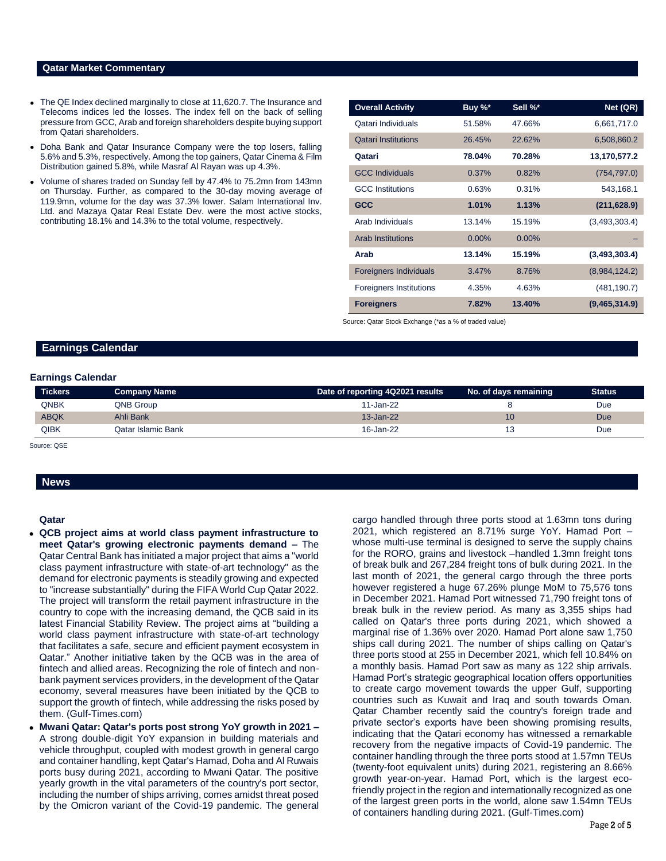#### **Qatar Market Commentary**

- The QE Index declined marginally to close at 11,620.7. The Insurance and Telecoms indices led the losses. The index fell on the back of selling pressure from GCC, Arab and foreign shareholders despite buying support from Qatari shareholders.
- Doha Bank and Qatar Insurance Company were the top losers, falling 5.6% and 5.3%, respectively. Among the top gainers, Qatar Cinema & Film Distribution gained 5.8%, while Masraf Al Rayan was up 4.3%.
- Volume of shares traded on Sunday fell by 47.4% to 75.2mn from 143mn on Thursday. Further, as compared to the 30-day moving average of 119.9mn, volume for the day was 37.3% lower. Salam International Inv. Ltd. and Mazaya Qatar Real Estate Dev. were the most active stocks, contributing 18.1% and 14.3% to the total volume, respectively.

| <b>Overall Activity</b>        | Buy %*   | Sell %*  | Net (QR)      |
|--------------------------------|----------|----------|---------------|
| Qatari Individuals             | 51.58%   | 47.66%   | 6,661,717.0   |
| <b>Qatari Institutions</b>     | 26.45%   | 22.62%   | 6,508,860.2   |
| Qatari                         | 78.04%   | 70.28%   | 13,170,577.2  |
| <b>GCC Individuals</b>         | 0.37%    | 0.82%    | (754, 797.0)  |
| <b>GCC</b> Institutions        | 0.63%    | 0.31%    | 543,168.1     |
| <b>GCC</b>                     | 1.01%    | 1.13%    | (211, 628.9)  |
| Arab Individuals               | 13.14%   | 15.19%   | (3,493,303.4) |
| <b>Arab Institutions</b>       | $0.00\%$ | $0.00\%$ |               |
| Arab                           | 13.14%   | 15.19%   | (3,493,303.4) |
| <b>Foreigners Individuals</b>  | 3.47%    | 8.76%    | (8,984,124.2) |
| <b>Foreigners Institutions</b> | 4.35%    | 4.63%    | (481, 190.7)  |
| <b>Foreigners</b>              | 7.82%    | 13.40%   | (9,465,314.9) |

Source: Qatar Stock Exchange (\*as a % of traded value)

#### **Earnings Calendar**

#### **Earnings Calendar**

| <b>Tickers</b> | <b>Company Name</b> | Date of reporting 4Q2021 results | No. of days remaining | <b>Status</b> |
|----------------|---------------------|----------------------------------|-----------------------|---------------|
| QNBK           | QNB Group           | 11-Jan-22                        |                       | Due           |
| <b>ABQK</b>    | Ahli Bank           | $13 - Jan-22$                    | 10                    | <b>Due</b>    |
| QIBK           | Qatar Islamic Bank  | 16-Jan-22                        |                       | Due           |

Source: QSE

#### **News**

#### **Qatar**

- **QCB project aims at world class payment infrastructure to meet Qatar's growing electronic payments demand –** The Qatar Central Bank has initiated a major project that aims a "world class payment infrastructure with state-of-art technology" as the demand for electronic payments is steadily growing and expected to "increase substantially" during the FIFA World Cup Qatar 2022. The project will transform the retail payment infrastructure in the country to cope with the increasing demand, the QCB said in its latest Financial Stability Review. The project aims at "building a world class payment infrastructure with state-of-art technology that facilitates a safe, secure and efficient payment ecosystem in Qatar." Another initiative taken by the QCB was in the area of fintech and allied areas. Recognizing the role of fintech and nonbank payment services providers, in the development of the Qatar economy, several measures have been initiated by the QCB to support the growth of fintech, while addressing the risks posed by them. (Gulf-Times.com)
- **Mwani Qatar: Qatar's ports post strong YoY growth in 2021 –** A strong double-digit YoY expansion in building materials and vehicle throughput, coupled with modest growth in general cargo and container handling, kept Qatar's Hamad, Doha and Al Ruwais ports busy during 2021, according to Mwani Qatar. The positive yearly growth in the vital parameters of the country's port sector, including the number of ships arriving, comes amidst threat posed by the Omicron variant of the Covid-19 pandemic. The general

cargo handled through three ports stood at 1.63mn tons during 2021, which registered an 8.71% surge YoY. Hamad Port – whose multi-use terminal is designed to serve the supply chains for the RORO, grains and livestock –handled 1.3mn freight tons of break bulk and 267,284 freight tons of bulk during 2021. In the last month of 2021, the general cargo through the three ports however registered a huge 67.26% plunge MoM to 75,576 tons in December 2021. Hamad Port witnessed 71,790 freight tons of break bulk in the review period. As many as 3,355 ships had called on Qatar's three ports during 2021, which showed a marginal rise of 1.36% over 2020. Hamad Port alone saw 1,750 ships call during 2021. The number of ships calling on Qatar's three ports stood at 255 in December 2021, which fell 10.84% on a monthly basis. Hamad Port saw as many as 122 ship arrivals. Hamad Port's strategic geographical location offers opportunities to create cargo movement towards the upper Gulf, supporting countries such as Kuwait and Iraq and south towards Oman. Qatar Chamber recently said the country's foreign trade and private sector's exports have been showing promising results, indicating that the Qatari economy has witnessed a remarkable recovery from the negative impacts of Covid-19 pandemic. The container handling through the three ports stood at 1.57mn TEUs (twenty-foot equivalent units) during 2021, registering an 8.66% growth year-on-year. Hamad Port, which is the largest ecofriendly project in the region and internationally recognized as one of the largest green ports in the world, alone saw 1.54mn TEUs of containers handling during 2021. (Gulf-Times.com)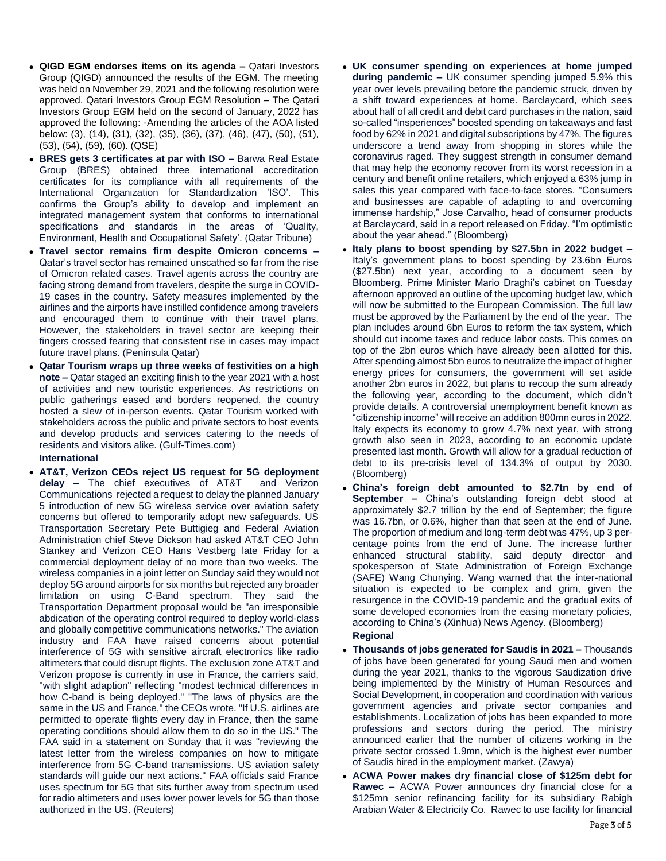- **QIGD EGM endorses items on its agenda –** Qatari Investors Group (QIGD) announced the results of the EGM. The meeting was held on November 29, 2021 and the following resolution were approved. Qatari Investors Group EGM Resolution – The Qatari Investors Group EGM held on the second of January, 2022 has approved the following: -Amending the articles of the AOA listed below: (3), (14), (31), (32), (35), (36), (37), (46), (47), (50), (51), (53), (54), (59), (60). (QSE)
- **BRES gets 3 certificates at par with ISO –** Barwa Real Estate Group (BRES) obtained three international accreditation certificates for its compliance with all requirements of the International Organization for Standardization 'ISO'. This confirms the Group's ability to develop and implement an integrated management system that conforms to international specifications and standards in the areas of 'Quality, Environment, Health and Occupational Safety'. (Qatar Tribune)
- **Travel sector remains firm despite Omicron concerns –** Qatar's travel sector has remained unscathed so far from the rise of Omicron related cases. Travel agents across the country are facing strong demand from travelers, despite the surge in COVID-19 cases in the country. Safety measures implemented by the airlines and the airports have instilled confidence among travelers and encouraged them to continue with their travel plans. However, the stakeholders in travel sector are keeping their fingers crossed fearing that consistent rise in cases may impact future travel plans. (Peninsula Qatar)
- **Qatar Tourism wraps up three weeks of festivities on a high note –** Qatar staged an exciting finish to the year 2021 with a host of activities and new touristic experiences. As restrictions on public gatherings eased and borders reopened, the country hosted a slew of in-person events. Qatar Tourism worked with stakeholders across the public and private sectors to host events and develop products and services catering to the needs of residents and visitors alike. (Gulf-Times.com)

#### **International**

 **AT&T, Verizon CEOs reject US request for 5G deployment**  delay - The chief executives of AT&T Communications rejected a request to delay the planned January 5 introduction of new 5G wireless service over aviation safety concerns but offered to temporarily adopt new safeguards. US Transportation Secretary Pete Buttigieg and Federal Aviation Administration chief Steve Dickson had asked AT&T CEO John Stankey and Verizon CEO Hans Vestberg late Friday for a commercial deployment delay of no more than two weeks. The wireless companies in a joint letter on Sunday said they would not deploy 5G around airports for six months but rejected any broader limitation on using C-Band spectrum. They said the Transportation Department proposal would be "an irresponsible abdication of the operating control required to deploy world-class and globally competitive communications networks." The aviation industry and FAA have raised concerns about potential interference of 5G with sensitive aircraft electronics like radio altimeters that could disrupt flights. The exclusion zone AT&T and Verizon propose is currently in use in France, the carriers said, "with slight adaption" reflecting "modest technical differences in how C-band is being deployed." "The laws of physics are the same in the US and France," the CEOs wrote. "If U.S. airlines are permitted to operate flights every day in France, then the same operating conditions should allow them to do so in the US." The FAA said in a statement on Sunday that it was "reviewing the latest letter from the wireless companies on how to mitigate interference from 5G C-band transmissions. US aviation safety standards will guide our next actions." FAA officials said France uses spectrum for 5G that sits further away from spectrum used for radio altimeters and uses lower power levels for 5G than those authorized in the US. (Reuters)

- **UK consumer spending on experiences at home jumped during pandemic –** UK consumer spending jumped 5.9% this year over levels prevailing before the pandemic struck, driven by a shift toward experiences at home. Barclaycard, which sees about half of all credit and debit card purchases in the nation, said so-called "insperiences" boosted spending on takeaways and fast food by 62% in 2021 and digital subscriptions by 47%. The figures underscore a trend away from shopping in stores while the coronavirus raged. They suggest strength in consumer demand that may help the economy recover from its worst recession in a century and benefit online retailers, which enjoyed a 63% jump in sales this year compared with face-to-face stores. "Consumers and businesses are capable of adapting to and overcoming immense hardship," Jose Carvalho, head of consumer products at Barclaycard, said in a report released on Friday. "I'm optimistic about the year ahead." (Bloomberg)
- **Italy plans to boost spending by \$27.5bn in 2022 budget –** Italy's government plans to boost spending by 23.6bn Euros (\$27.5bn) next year, according to a document seen by Bloomberg. Prime Minister Mario Draghi's cabinet on Tuesday afternoon approved an outline of the upcoming budget law, which will now be submitted to the European Commission. The full law must be approved by the Parliament by the end of the year. The plan includes around 6bn Euros to reform the tax system, which should cut income taxes and reduce labor costs. This comes on top of the 2bn euros which have already been allotted for this. After spending almost 5bn euros to neutralize the impact of higher energy prices for consumers, the government will set aside another 2bn euros in 2022, but plans to recoup the sum already the following year, according to the document, which didn't provide details. A controversial unemployment benefit known as "citizenship income" will receive an addition 800mn euros in 2022. Italy expects its economy to grow 4.7% next year, with strong growth also seen in 2023, according to an economic update presented last month. Growth will allow for a gradual reduction of debt to its pre-crisis level of 134.3% of output by 2030. (Bloomberg)
- **China's foreign debt amounted to \$2.7tn by end of September –** China's outstanding foreign debt stood at approximately \$2.7 trillion by the end of September; the figure was 16.7bn, or 0.6%, higher than that seen at the end of June. The proportion of medium and long-term debt was 47%, up 3 percentage points from the end of June. The increase further enhanced structural stability, said deputy director and spokesperson of State Administration of Foreign Exchange (SAFE) Wang Chunying. Wang warned that the inter-national situation is expected to be complex and grim, given the resurgence in the COVID-19 pandemic and the gradual exits of some developed economies from the easing monetary policies, according to China's (Xinhua) News Agency. (Bloomberg)

### **Regional**

- **Thousands of jobs generated for Saudis in 2021 –** Thousands of jobs have been generated for young Saudi men and women during the year 2021, thanks to the vigorous Saudization drive being implemented by the Ministry of Human Resources and Social Development, in cooperation and coordination with various government agencies and private sector companies and establishments. Localization of jobs has been expanded to more professions and sectors during the period. The ministry announced earlier that the number of citizens working in the private sector crossed 1.9mn, which is the highest ever number of Saudis hired in the employment market. (Zawya)
- **ACWA Power makes dry financial close of \$125m debt for Rawec –** ACWA Power announces dry financial close for a \$125mn senior refinancing facility for its subsidiary Rabigh Arabian Water & Electricity Co. Rawec to use facility for financial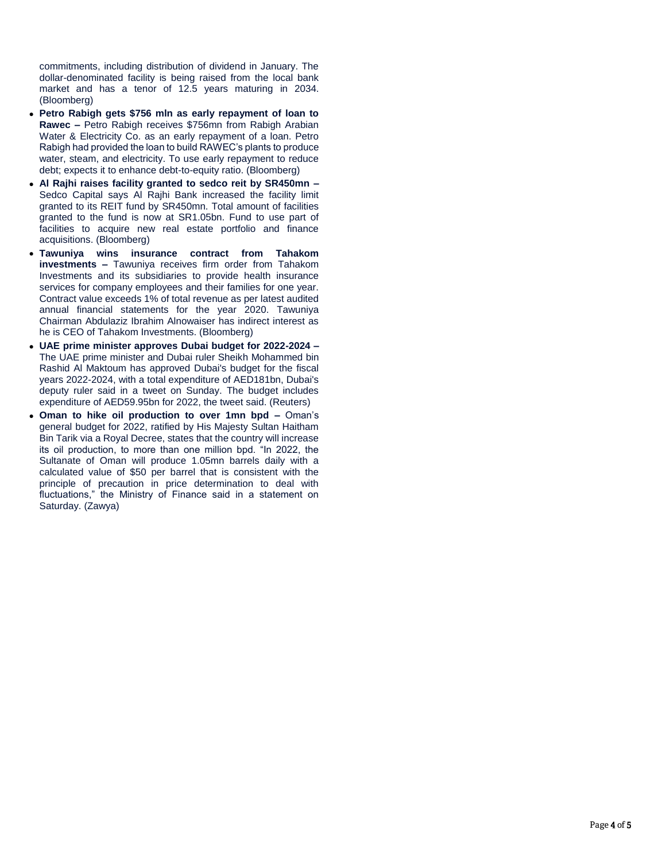commitments, including distribution of dividend in January. The dollar-denominated facility is being raised from the local bank market and has a tenor of 12.5 years maturing in 2034. (Bloomberg)

- **Petro Rabigh gets \$756 mln as early repayment of loan to Rawec –** Petro Rabigh receives \$756mn from Rabigh Arabian Water & Electricity Co. as an early repayment of a loan. Petro Rabigh had provided the loan to build RAWEC's plants to produce water, steam, and electricity. To use early repayment to reduce debt; expects it to enhance debt-to-equity ratio. (Bloomberg)
- **Al Rajhi raises facility granted to sedco reit by SR450mn –** Sedco Capital says Al Rajhi Bank increased the facility limit granted to its REIT fund by SR450mn. Total amount of facilities granted to the fund is now at SR1.05bn. Fund to use part of facilities to acquire new real estate portfolio and finance acquisitions. (Bloomberg)
- **Tawuniya wins insurance contract from Tahakom investments –** Tawuniya receives firm order from Tahakom Investments and its subsidiaries to provide health insurance services for company employees and their families for one year. Contract value exceeds 1% of total revenue as per latest audited annual financial statements for the year 2020. Tawuniya Chairman Abdulaziz Ibrahim Alnowaiser has indirect interest as he is CEO of Tahakom Investments. (Bloomberg)
- **UAE prime minister approves Dubai budget for 2022-2024 –** The UAE prime minister and Dubai ruler Sheikh Mohammed bin Rashid Al Maktoum has approved Dubai's budget for the fiscal years 2022-2024, with a total expenditure of AED181bn, Dubai's deputy ruler said in a tweet on Sunday. The budget includes expenditure of AED59.95bn for 2022, the tweet said. (Reuters)
- **Oman to hike oil production to over 1mn bpd –** Oman's general budget for 2022, ratified by His Majesty Sultan Haitham Bin Tarik via a Royal Decree, states that the country will increase its oil production, to more than one million bpd. "In 2022, the Sultanate of Oman will produce 1.05mn barrels daily with a calculated value of \$50 per barrel that is consistent with the principle of precaution in price determination to deal with fluctuations," the Ministry of Finance said in a statement on Saturday. (Zawya)